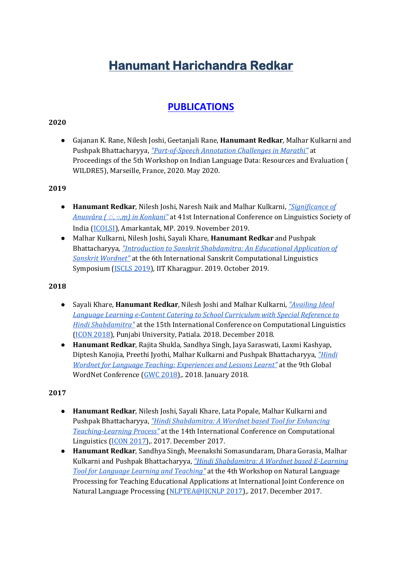# **Hanumant Harichandra Redkar**

# **[PUBLICATIONS](https://scholar.google.co.in/citations?user=mbXC6fwAAAAJ&hl=en)**

# **2020**

● Gajanan K. Rane, Nilesh Joshi, Geetanjali Rane, **Hanumant Redkar**, Malhar Kulkarni and Pushpak Bhattacharyya, *["Part-of-Speech Annotation Challenges in Marathi"](https://www.aclweb.org/anthology/2020.wildre-1.1/)* at Proceedings of the 5th Workshop on Indian Language Data: Resources and Evaluation ( WILDRE5), Marseille, France, 2020. May 2020.

#### **2019**

- **Hanumant Redkar**, Nilesh Joshi, Naresh Naik and Malhar Kulkarni, *["Significance of](https://www.cfilt.iitb.ac.in/%7Ehanumantredkar/)  Anusvāra ( ◌ं, [◌,ṃ\) in Konkani"](https://www.cfilt.iitb.ac.in/%7Ehanumantredkar/)* at 41st International Conference on Linguistics Society of India [\(ICOLSI\)](https://sites.google.com/view/icolsi41/home), Amarkantak, MP. 2019. November 2019.
- Malhar Kulkarni, Nilesh Joshi, Sayali Khare, **Hanumant Redkar** and Pushpak Bhattacharyya, *["Introduction to Sanskrit Shabdamitra: An Educational Application of](https://www.aclweb.org/anthology/W19-7509.pdf)  [Sanskrit Wordnet"](https://www.aclweb.org/anthology/W19-7509.pdf)* at the 6th International Sanskrit Computational Linguistics Symposium [\(ISCLS 2019\)](https://iscls.github.io/), IIT Kharagpur. 2019. October 2019.

#### **2018**

- Sayali Khare, **Hanumant Redkar**, Nilesh Joshi and Malhar Kulkarni, *["Availing Ideal](https://www.cfilt.iitb.ac.in/%7Ehanumantredkar/)  Language Learning e-[Content Catering to School Curriculum with Special Re](https://www.cfilt.iitb.ac.in/%7Ehanumantredkar/)ference to [Hindi Shabdamitra"](https://www.cfilt.iitb.ac.in/%7Ehanumantredkar/)* at the 15th International Conference on Computational Linguistics [\(ICON 2018\)](https://ltrc.iiit.ac.in/icon2018/), Punjabi University, Patiala. 2018. December 2018.
- **Hanumant Redkar**, Rajita Shukla, Sandhya Singh, Jaya Saraswati, Laxmi Kashyap, Diptesh Kanojia, Preethi Jyothi, Malhar Kulkarni and Pushpak Bhattacharyya, *["Hindi](https://pdfs.semanticscholar.org/90ed/ba89e410f77ca9370294ee46c424af7bf49a.pdf#page=324)  [Wordnet for Language Teaching: Experiences and Lessons Learnt"](https://pdfs.semanticscholar.org/90ed/ba89e410f77ca9370294ee46c424af7bf49a.pdf#page=324)* at the 9th Global WordNet Conference [\(GWC 2018\)](http://compling.hss.ntu.edu.sg/events/2018-gwc/),. 2018. January 2018.

# **2017**

- **Hanumant Redkar**, Nilesh Joshi, Sayali Khare, Lata Popale, Malhar Kulkarni and Pushpak Bhattacharyya, *["Hindi Shabdamitra: A Wordnet based Tool for Enhancing](https://www.aclweb.org/anthology/W17-7531.pdf)  [Teaching-Learning Process"](https://www.aclweb.org/anthology/W17-7531.pdf)* at the 14th International Conference on Computational Linguistics [\(ICON 2017\)](https://ltrc.iiit.ac.in/icon2017/),. 2017. December 2017.
- **Hanumant Redkar**, Sandhya Singh, Meenakshi Somasundaram, Dhara Gorasia, Malhar Kulkarni and Pushpak Bhattacharyya, *["Hindi Shabdamitra: A Wordnet based E](https://www.aclweb.org/anthology/W17-5904.pdf)-Learning [Tool for Language Learning and Teaching"](https://www.aclweb.org/anthology/W17-5904.pdf)* at the 4th Workshop on Natural Language Processing for Teaching Educational Applications at International Joint Conference on Natural Language Processing [\(NLPTEA@IJCNLP 2017\)](https://sites.google.com/view/nlptea2017/),. 2017. December 2017.